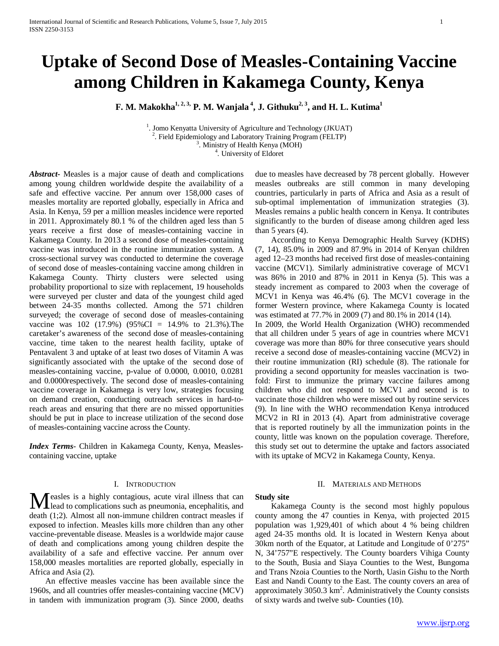# **Uptake of Second Dose of Measles-Containing Vaccine among Children in Kakamega County, Kenya**

**F. M. Makokha** $^{1,2,3}$  **P. M. Wanjala<sup>4</sup>, J. Githuku<sup>2, 3</sup>, and H. L. Kutima<sup>1</sup>** 

<sup>1</sup>. Jomo Kenyatta University of Agriculture and Technology (JKUAT) <sup>2</sup>. Field Epidemiology and Laboratory Training Program (FELTP)  $3.$  Ministry of Health Kenya (MOH) <sup>4</sup>. University of Eldoret

*Abstract***-** Measles is a major cause of death and complications among young children worldwide despite the availability of a safe and effective vaccine. Per annum over 158,000 cases of measles mortality are reported globally, especially in Africa and Asia. In Kenya, 59 per a million measles incidence were reported in 2011. Approximately 80.1 % of the children aged less than 5 years receive a first dose of measles-containing vaccine in Kakamega County. In 2013 a second dose of measles-containing vaccine was introduced in the routine immunization system. A cross-sectional survey was conducted to determine the coverage of second dose of measles-containing vaccine among children in Kakamega County. Thirty clusters were selected using probability proportional to size with replacement, 19 households were surveyed per cluster and data of the youngest child aged between 24-35 months collected. Among the 571 children surveyed; the coverage of second dose of measles-containing vaccine was 102 (17.9%) (95%CI = 14.9% to 21.3%). The caretaker's awareness of the second dose of measles-containing vaccine, time taken to the nearest health facility, uptake of Pentavalent 3 and uptake of at least two doses of Vitamin A was significantly associated with the uptake of the second dose of measles-containing vaccine, p-value of 0.0000, 0.0010, 0.0281 and 0.0000respectively. The second dose of measles-containing vaccine coverage in Kakamega is very low, strategies focusing on demand creation, conducting outreach services in hard-toreach areas and ensuring that there are no missed opportunities should be put in place to increase utilization of the second dose of measles-containing vaccine across the County.

*Index Terms*- Children in Kakamega County, Kenya, Measlescontaining vaccine, uptake

### I. INTRODUCTION

Measles is a highly contagious, acute viral illness that can<br>lead to complications such as pneumonia, encephalitis, and<br>decle $(1,0)$  Almost all non-diplomations is lead to complications such as pneumonia, encephalitis, and death (1;2). Almost all non-immune children contract measles if exposed to infection. Measles kills more children than any other vaccine-preventable disease. Measles is a worldwide major cause of death and complications among young children despite the availability of a safe and effective vaccine. Per annum over 158,000 measles mortalities are reported globally, especially in Africa and Asia (2).

 An effective measles vaccine has been available since the 1960s, and all countries offer measles-containing vaccine (MCV) in tandem with immunization program (3). Since 2000, deaths

due to measles have decreased by 78 percent globally. However measles outbreaks are still common in many developing countries, particularly in parts of Africa and Asia as a result of sub-optimal implementation of immunization strategies (3). Measles remains a public health concern in Kenya. It contributes significantly to the burden of disease among children aged less than  $5$  years  $(4)$ .

 According to Kenya Demographic Health Survey (KDHS) (7, 14), 85.0% in 2009 and 87.9% in 2014 of Kenyan children aged 12–23 months had received first dose of measles-containing vaccine (MCV1). Similarly administrative coverage of MCV1 was 86% in 2010 and 87% in 2011 in Kenya (5). This was a steady increment as compared to 2003 when the coverage of MCV1 in Kenya was 46.4% (6). The MCV1 coverage in the former Western province, where Kakamega County is located was estimated at 77.7% in 2009 (7) and 80.1% in 2014 (14). In 2009, the World Health Organization (WHO) recommended that all children under 5 years of age in countries where MCV1 coverage was more than 80% for three consecutive years should receive a second dose of measles-containing vaccine (MCV2) in their routine immunization (RI) schedule (8). The rationale for providing a second opportunity for measles vaccination is twofold: First to immunize the primary vaccine failures among children who did not respond to MCV1 and second is to vaccinate those children who were missed out by routine services (9). In line with the WHO recommendation Kenya introduced MCV2 in RI in 2013 (4). Apart from administrative coverage that is reported routinely by all the immunization points in the county, little was known on the population coverage. Therefore, this study set out to determine the uptake and factors associated with its uptake of MCV2 in Kakamega County, Kenya.

## II. MATERIALS AND METHODS

## **Study site**

 Kakamega County is the second most highly populous county among the 47 counties in Kenya, with projected 2015 population was 1,929,401 of which about 4 % being children aged 24-35 months old. It is located in Western Kenya about 30km north of the Equator, at Latitude and Longitude of 0'275" N, 34'757"E respectively. The County boarders Vihiga County to the South, Busia and Siaya Counties to the West, Bungoma and Trans Nzoia Counties to the North, Uasin Gishu to the North East and Nandi County to the East. The county covers an area of approximately  $3050.3 \text{ km}^2$ . Administratively the County consists of sixty wards and twelve sub- Counties (10).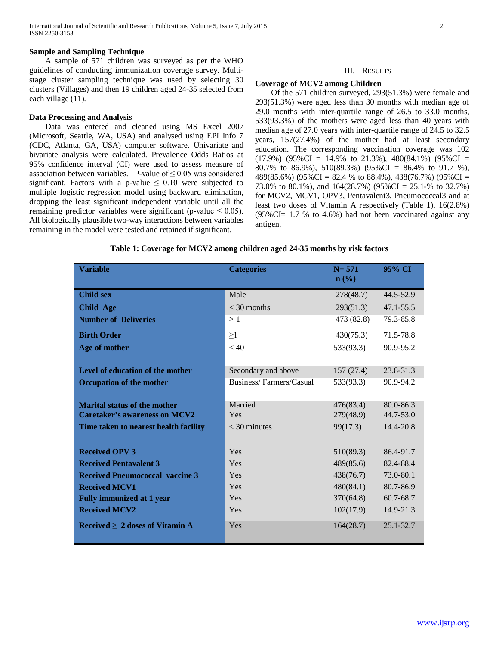### **Sample and Sampling Technique**

 A sample of 571 children was surveyed as per the WHO guidelines of conducting immunization coverage survey. Multistage cluster sampling technique was used by selecting 30 clusters (Villages) and then 19 children aged 24-35 selected from each village (11).

### **Data Processing and Analysis**

 Data was entered and cleaned using MS Excel 2007 (Microsoft, Seattle, WA, USA) and analysed using EPI Info 7 (CDC, Atlanta, GA, USA) computer software. Univariate and bivariate analysis were calculated. Prevalence Odds Ratios at 95% confidence interval (CI) were used to assess measure of association between variables. P-value of  $\leq 0.05$  was considered significant. Factors with a p-value  $\leq 0.10$  were subjected to multiple logistic regression model using backward elimination, dropping the least significant independent variable until all the remaining predictor variables were significant (p-value  $\leq 0.05$ ). All biologically plausible two-way interactions between variables remaining in the model were tested and retained if significant.

## III. RESULTS

#### **Coverage of MCV2 among Children**

 Of the 571 children surveyed, 293(51.3%) were female and 293(51.3%) were aged less than 30 months with median age of 29.0 months with inter-quartile range of 26.5 to 33.0 months, 533(93.3%) of the mothers were aged less than 40 years with median age of 27.0 years with inter-quartile range of 24.5 to 32.5 years, 157(27.4%) of the mother had at least secondary education. The corresponding vaccination coverage was 102  $(17.9\%)$   $(95\%CI = 14.9\%$  to 21.3%), 480 $(84.1\%)$   $(95\%CI =$ 80.7% to 86.9%), 510(89.3%) (95%CI = 86.4% to 91.7 %), 489(85.6%) (95%CI = 82.4 % to 88.4%), 438(76.7%) (95%CI = 73.0% to 80.1%), and 164(28.7%) (95%CI = 25.1-% to 32.7%) for MCV2, MCV1, OPV3, Pentavalent3, Pneumococcal3 and at least two doses of Vitamin A respectively (Table 1). 16(2.8%) (95%CI= 1.7 % to 4.6%) had not been vaccinated against any antigen.

#### **Table 1: Coverage for MCV2 among children aged 24-35 months by risk factors**

| <b>Variable</b>                        | <b>Categories</b>       | $N = 571$<br>$\mathbf{n}(\%)$ | 95% CI        |
|----------------------------------------|-------------------------|-------------------------------|---------------|
| <b>Child sex</b>                       | Male                    | 278(48.7)                     | 44.5-52.9     |
| <b>Child Age</b>                       | $<$ 30 months           | 293(51.3)                     | $47.1 - 55.5$ |
| <b>Number of Deliveries</b>            | >1                      | 473 (82.8)                    | 79.3-85.8     |
| <b>Birth Order</b>                     | $\geq$ 1                | 430(75.3)                     | 71.5-78.8     |
| Age of mother                          | < 40                    | 533(93.3)                     | 90.9-95.2     |
|                                        |                         |                               |               |
| Level of education of the mother       | Secondary and above     | 157(27.4)                     | $23.8 - 31.3$ |
| <b>Occupation of the mother</b>        | Business/Farmers/Casual | 533(93.3)                     | 90.9-94.2     |
|                                        |                         |                               |               |
| <b>Marital status of the mother</b>    | Married                 | 476(83.4)                     | $80.0 - 86.3$ |
| <b>Caretaker's awareness on MCV2</b>   | Yes                     | 279(48.9)                     | $44.7 - 53.0$ |
| Time taken to nearest health facility  | $<$ 30 minutes          | 99(17.3)                      | 14.4-20.8     |
|                                        |                         |                               |               |
| <b>Received OPV 3</b>                  | Yes                     | 510(89.3)                     | 86.4-91.7     |
| <b>Received Pentavalent 3</b>          | Yes                     | 489(85.6)                     | 82.4-88.4     |
| <b>Received Pneumococcal vaccine 3</b> | Yes                     | 438(76.7)                     | 73.0-80.1     |
| <b>Received MCV1</b>                   | Yes                     | 480(84.1)                     | 80.7-86.9     |
| <b>Fully immunized at 1 year</b>       | Yes                     | 370(64.8)                     | 60.7-68.7     |
| <b>Received MCV2</b>                   | Yes                     | 102(17.9)                     | 14.9-21.3     |
| Received $\geq 2$ doses of Vitamin A   | Yes                     | 164(28.7)                     | $25.1 - 32.7$ |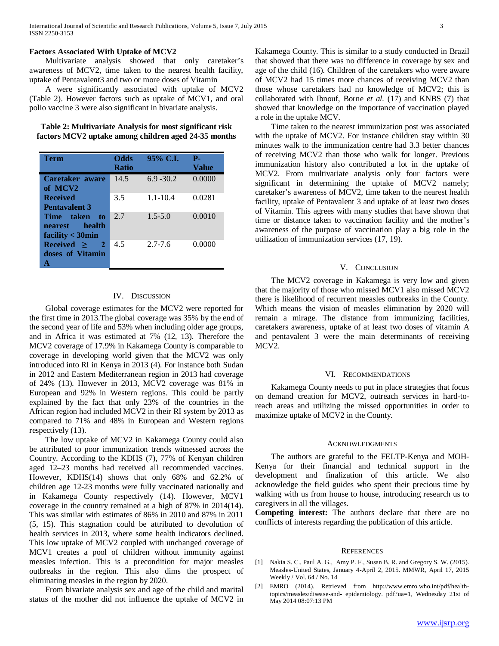## **Factors Associated With Uptake of MCV2**

 Multivariate analysis showed that only caretaker's awareness of MCV2, time taken to the nearest health facility, uptake of Pentavalent3 and two or more doses of Vitamin

 A were significantly associated with uptake of MCV2 (Table 2). However factors such as uptake of MCV1, and oral polio vaccine 3 were also significant in bivariate analysis.

**Table 2: Multivariate Analysis for most significant risk factors MCV2 uptake among children aged 24-35 months**

| Term                                                                  | <b>Odds</b><br><b>Ratio</b> | 95% C.I.     | Р.<br>Value |
|-----------------------------------------------------------------------|-----------------------------|--------------|-------------|
| Caretaker aware<br>of MCV2                                            | 14.5                        | $6.9 - 30.2$ | 0.0000      |
| <b>Received</b><br><b>Pentavalent 3</b>                               | 3.5                         | $1.1 - 10.4$ | 0.0281      |
| Time taken<br>to<br>health<br><b>nearest</b><br>facility $<$ 30 $min$ | 2.7                         | $1.5 - 5.0$  | 0.0010      |
| Received ><br>$\mathbf{2}$<br>doses of Vitamin                        | 4.5                         | $2.7 - 7.6$  | 0.0000      |

## IV. DISCUSSION

 Global coverage estimates for the MCV2 were reported for the first time in 2013.The global coverage was 35% by the end of the second year of life and 53% when including older age groups, and in Africa it was estimated at 7% (12, 13). Therefore the MCV2 coverage of 17.9% in Kakamega County is comparable to coverage in developing world given that the MCV2 was only introduced into RI in Kenya in 2013 (4). For instance both Sudan in 2012 and Eastern Mediterranean region in 2013 had coverage of 24% (13). However in 2013, MCV2 coverage was 81% in European and 92% in Western regions. This could be partly explained by the fact that only 23% of the countries in the African region had included MCV2 in their RI system by 2013 as compared to 71% and 48% in European and Western regions respectively (13).

 The low uptake of MCV2 in Kakamega County could also be attributed to poor immunization trends witnessed across the Country. According to the KDHS (7), 77% of Kenyan children aged 12–23 months had received all recommended vaccines. However, KDHS(14) shows that only 68% and 62.2% of children age 12-23 months were fully vaccinated nationally and in Kakamega County respectively (14). However, MCV1 coverage in the country remained at a high of 87% in 2014(14). This was similar with estimates of 86% in 2010 and 87% in 2011 (5*,* 15). This stagnation could be attributed to devolution of health services in 2013, where some health indicators declined. This low uptake of MCV2 coupled with unchanged coverage of MCV1 creates a pool of children without immunity against measles infection. This is a precondition for major measles outbreaks in the region. This also dims the prospect of eliminating measles in the region by 2020.

 From bivariate analysis sex and age of the child and marital status of the mother did not influence the uptake of MCV2 in Kakamega County. This is similar to a study conducted in Brazil that showed that there was no difference in coverage by sex and age of the child (16). Children of the caretakers who were aware of MCV2 had 15 times more chances of receiving MCV2 than those whose caretakers had no knowledge of MCV2; this is collaborated with Ibnouf, Borne *et al.* (17) and KNBS (7) that showed that knowledge on the importance of vaccination played a role in the uptake MCV.

 Time taken to the nearest immunization post was associated with the uptake of MCV2. For instance children stay within 30 minutes walk to the immunization centre had 3.3 better chances of receiving MCV2 than those who walk for longer. Previous immunization history also contributed a lot in the uptake of MCV2. From multivariate analysis only four factors were significant in determining the uptake of MCV2 namely; caretaker's awareness of MCV2, time taken to the nearest health facility, uptake of Pentavalent 3 and uptake of at least two doses of Vitamin. This agrees with many studies that have shown that time or distance taken to vaccination facility and the mother's awareness of the purpose of vaccination play a big role in the utilization of immunization services (17, 19).

## V. CONCLUSION

 The MCV2 coverage in Kakamega is very low and given that the majority of those who missed MCV1 also missed MCV2 there is likelihood of recurrent measles outbreaks in the County. Which means the vision of measles elimination by 2020 will remain a mirage. The distance from immunizing facilities, caretakers awareness, uptake of at least two doses of vitamin A and pentavalent 3 were the main determinants of receiving MCV2.

#### VI. RECOMMENDATIONS

 Kakamega County needs to put in place strategies that focus on demand creation for MCV2, outreach services in hard-toreach areas and utilizing the missed opportunities in order to maximize uptake of MCV2 in the County.

## ACKNOWLEDGMENTS

 The authors are grateful to the FELTP-Kenya and MOH-Kenya for their financial and technical support in the development and finalization of this article. We also acknowledge the field guides who spent their precious time by walking with us from house to house, introducing research us to caregivers in all the villages.

**Competing interest:** The authors declare that there are no conflicts of interests regarding the publication of this article.

#### **REFERENCES**

- [1] Nakia S. C., Paul A. G., Amy P. F., Susan B. R. and Gregory S. W. (2015). Measles-United States, January 4-April 2, 2015. MMWR, April 17, 2015 Weekly / Vol. 64 / No. 14
- [2] EMRO (2014). Retrieved from http://www.emro.who.int/pdf/healthtopics/measles/disease-and- epidemiology. pdf?ua=1, Wednesday 21st of May 2014 08:07:13 PM